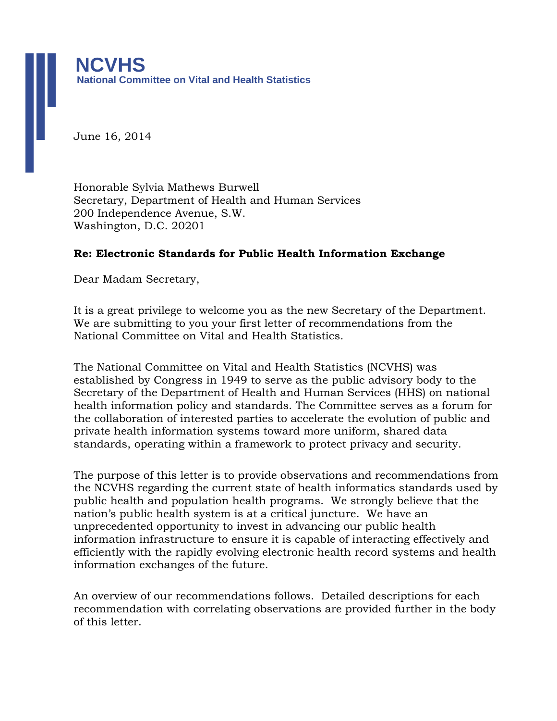June 16, 2014

Honorable Sylvia Mathews Burwell Secretary, Department of Health and Human Services 200 Independence Avenue, S.W. Washington, D.C. 20201

### **Re: Electronic Standards for Public Health Information Exchange**

Dear Madam Secretary,

It is a great privilege to welcome you as the new Secretary of the Department. We are submitting to you your first letter of recommendations from the National Committee on Vital and Health Statistics.

The National Committee on Vital and Health Statistics (NCVHS) was established by Congress in 1949 to serve as the public advisory body to the Secretary of the Department of Health and Human Services (HHS) on national health information policy and standards. The Committee serves as a forum for the collaboration of interested parties to accelerate the evolution of public and private health information systems toward more uniform, shared data standards, operating within a framework to protect privacy and security.

The purpose of this letter is to provide observations and recommendations from the NCVHS regarding the current state of health informatics standards used by public health and population health programs. We strongly believe that the nation's public health system is at a critical juncture. We have an unprecedented opportunity to invest in advancing our public health information infrastructure to ensure it is capable of interacting effectively and efficiently with the rapidly evolving electronic health record systems and health information exchanges of the future.

An overview of our recommendations follows. Detailed descriptions for each recommendation with correlating observations are provided further in the body of this letter.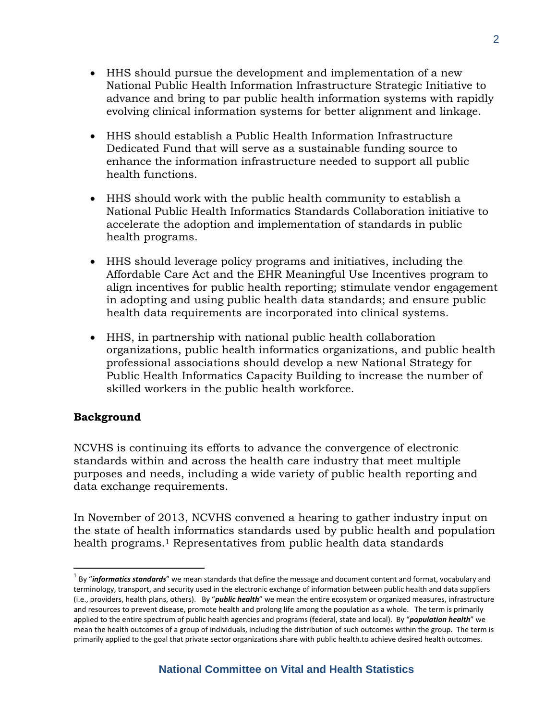- HHS should pursue the development and implementation of a new National Public Health Information Infrastructure Strategic Initiative to advance and bring to par public health information systems with rapidly evolving clinical information systems for better alignment and linkage.
- HHS should establish a Public Health Information Infrastructure Dedicated Fund that will serve as a sustainable funding source to enhance the information infrastructure needed to support all public health functions.
- HHS should work with the public health community to establish a National Public Health Informatics Standards Collaboration initiative to accelerate the adoption and implementation of standards in public health programs.
- HHS should leverage policy programs and initiatives, including the Affordable Care Act and the EHR Meaningful Use Incentives program to align incentives for public health reporting; stimulate vendor engagement in adopting and using public health data standards; and ensure public health data requirements are incorporated into clinical systems.
- HHS, in partnership with national public health collaboration organizations, public health informatics organizations, and public health professional associations should develop a new National Strategy for Public Health Informatics Capacity Building to increase the number of skilled workers in the public health workforce.

# **Background**

 $\overline{a}$ 

NCVHS is continuing its efforts to advance the convergence of electronic standards within and across the health care industry that meet multiple purposes and needs, including a wide variety of public health reporting and data exchange requirements.

In November of 2013, NCVHS convened a hearing to gather industry input on the state of health informatics standards used by public health and population health programs.<sup>1</sup> Representatives from public health data standards

<sup>&</sup>lt;sup>1</sup> By "informatics standards" we mean standards that define the message and document content and format, vocabulary and terminology, transport, and security used in the electronic exchange of information between public health and data suppliers (i.e., providers, health plans, others). By "*public health*" we mean the entire ecosystem or organized measures, infrastructure and resources to prevent disease, promote health and prolong life among the population as a whole. The term is primarily applied to the entire spectrum of public health agencies and programs (federal, state and local). By "*population health*" we mean the health outcomes of a group of individuals, including the distribution of such outcomes within the group. The term is primarily applied to the goal that private sector organizations share with public health.to achieve desired health outcomes.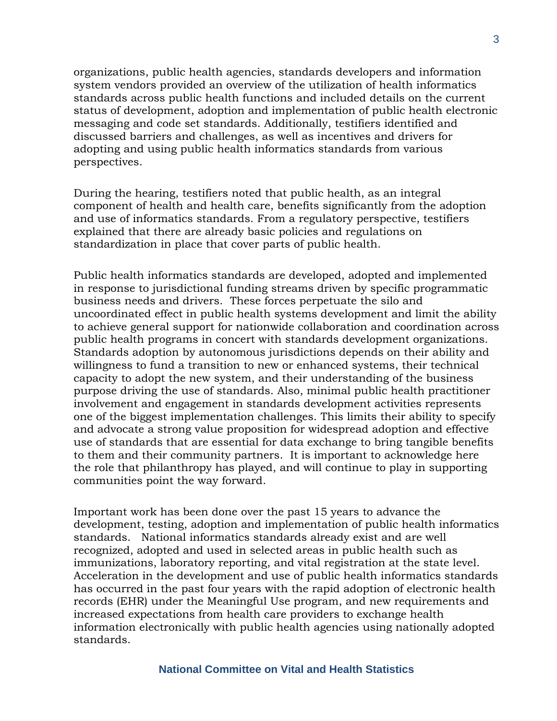organizations, public health agencies, standards developers and information system vendors provided an overview of the utilization of health informatics standards across public health functions and included details on the current status of development, adoption and implementation of public health electronic messaging and code set standards. Additionally, testifiers identified and discussed barriers and challenges, as well as incentives and drivers for adopting and using public health informatics standards from various perspectives.

During the hearing, testifiers noted that public health, as an integral component of health and health care, benefits significantly from the adoption and use of informatics standards. From a regulatory perspective, testifiers explained that there are already basic policies and regulations on standardization in place that cover parts of public health.

Public health informatics standards are developed, adopted and implemented in response to jurisdictional funding streams driven by specific programmatic business needs and drivers. These forces perpetuate the silo and uncoordinated effect in public health systems development and limit the ability to achieve general support for nationwide collaboration and coordination across public health programs in concert with standards development organizations. Standards adoption by autonomous jurisdictions depends on their ability and willingness to fund a transition to new or enhanced systems, their technical capacity to adopt the new system, and their understanding of the business purpose driving the use of standards. Also, minimal public health practitioner involvement and engagement in standards development activities represents one of the biggest implementation challenges. This limits their ability to specify and advocate a strong value proposition for widespread adoption and effective use of standards that are essential for data exchange to bring tangible benefits to them and their community partners. It is important to acknowledge here the role that philanthropy has played, and will continue to play in supporting communities point the way forward.

Important work has been done over the past 15 years to advance the development, testing, adoption and implementation of public health informatics standards. National informatics standards already exist and are well recognized, adopted and used in selected areas in public health such as immunizations, laboratory reporting, and vital registration at the state level. Acceleration in the development and use of public health informatics standards has occurred in the past four years with the rapid adoption of electronic health records (EHR) under the Meaningful Use program, and new requirements and increased expectations from health care providers to exchange health information electronically with public health agencies using nationally adopted standards.

#### **National Committee on Vital and Health Statistics**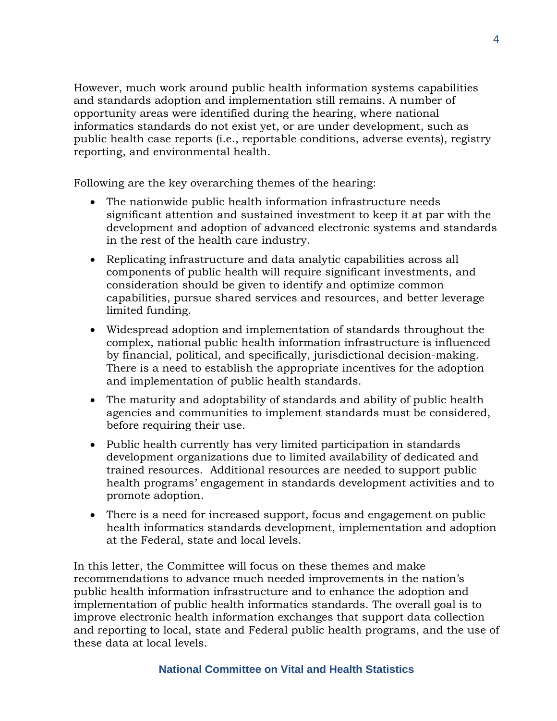However, much work around public health information systems capabilities and standards adoption and implementation still remains. A number of opportunity areas were identified during the hearing, where national informatics standards do not exist yet, or are under development, such as public health case reports (i.e., reportable conditions, adverse events), registry reporting, and environmental health.

Following are the key overarching themes of the hearing:

- The nationwide public health information infrastructure needs significant attention and sustained investment to keep it at par with the development and adoption of advanced electronic systems and standards in the rest of the health care industry.
- Replicating infrastructure and data analytic capabilities across all components of public health will require significant investments, and consideration should be given to identify and optimize common capabilities, pursue shared services and resources, and better leverage limited funding.
- Widespread adoption and implementation of standards throughout the complex, national public health information infrastructure is influenced by financial, political, and specifically, jurisdictional decision-making. There is a need to establish the appropriate incentives for the adoption and implementation of public health standards.
- The maturity and adoptability of standards and ability of public health agencies and communities to implement standards must be considered, before requiring their use.
- Public health currently has very limited participation in standards development organizations due to limited availability of dedicated and trained resources. Additional resources are needed to support public health programs' engagement in standards development activities and to promote adoption.
- There is a need for increased support, focus and engagement on public health informatics standards development, implementation and adoption at the Federal, state and local levels.

In this letter, the Committee will focus on these themes and make recommendations to advance much needed improvements in the nation's public health information infrastructure and to enhance the adoption and implementation of public health informatics standards. The overall goal is to improve electronic health information exchanges that support data collection and reporting to local, state and Federal public health programs, and the use of these data at local levels.

# **National Committee on Vital and Health Statistics**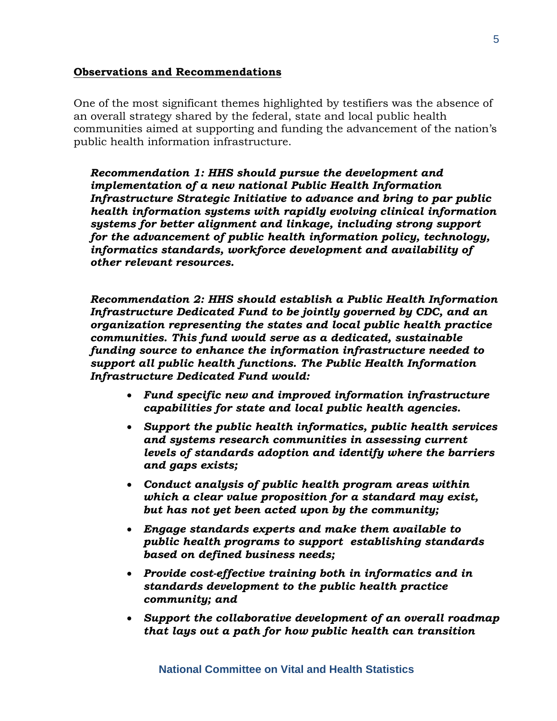### **Observations and Recommendations**

One of the most significant themes highlighted by testifiers was the absence of an overall strategy shared by the federal, state and local public health communities aimed at supporting and funding the advancement of the nation's public health information infrastructure.

*Recommendation 1: HHS should pursue the development and implementation of a new national Public Health Information Infrastructure Strategic Initiative to advance and bring to par public health information systems with rapidly evolving clinical information systems for better alignment and linkage, including strong support for the advancement of public health information policy, technology, informatics standards, workforce development and availability of other relevant resources.* 

*Recommendation 2: HHS should establish a Public Health Information Infrastructure Dedicated Fund to be jointly governed by CDC, and an organization representing the states and local public health practice communities. This fund would serve as a dedicated, sustainable funding source to enhance the information infrastructure needed to support all public health functions. The Public Health Information Infrastructure Dedicated Fund would:*

- *Fund specific new and improved information infrastructure capabilities for state and local public health agencies.*
- *Support the public health informatics, public health services and systems research communities in assessing current levels of standards adoption and identify where the barriers and gaps exists;*
- *Conduct analysis of public health program areas within which a clear value proposition for a standard may exist, but has not yet been acted upon by the community;*
- *Engage standards experts and make them available to public health programs to support establishing standards based on defined business needs;*
- *Provide cost-effective training both in informatics and in standards development to the public health practice community; and*
- *Support the collaborative development of an overall roadmap that lays out a path for how public health can transition*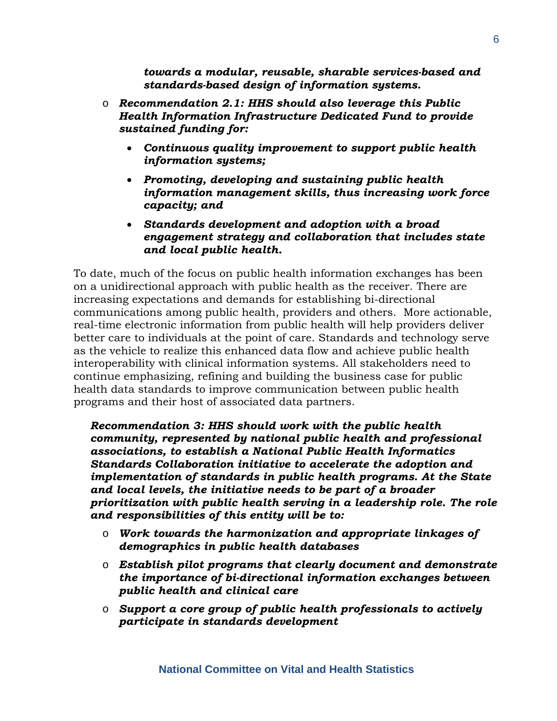*towards a modular, reusable, sharable services-based and standards-based design of information systems.* 

- o *Recommendation 2.1: HHS should also leverage this Public Health Information Infrastructure Dedicated Fund to provide sustained funding for:*
	- *Continuous quality improvement to support public health information systems;*
	- *Promoting, developing and sustaining public health information management skills, thus increasing work force capacity; and*
	- *Standards development and adoption with a broad engagement strategy and collaboration that includes state and local public health.*

To date, much of the focus on public health information exchanges has been on a unidirectional approach with public health as the receiver. There are increasing expectations and demands for establishing bi-directional communications among public health, providers and others. More actionable, real-time electronic information from public health will help providers deliver better care to individuals at the point of care. Standards and technology serve as the vehicle to realize this enhanced data flow and achieve public health interoperability with clinical information systems. All stakeholders need to continue emphasizing, refining and building the business case for public health data standards to improve communication between public health programs and their host of associated data partners.

*Recommendation 3: HHS should work with the public health community, represented by national public health and professional associations, to establish a National Public Health Informatics Standards Collaboration initiative to accelerate the adoption and implementation of standards in public health programs. At the State and local levels, the initiative needs to be part of a broader prioritization with public health serving in a leadership role. The role and responsibilities of this entity will be to:* 

- o *Work towards the harmonization and appropriate linkages of demographics in public health databases*
- o *Establish pilot programs that clearly document and demonstrate the importance of bi-directional information exchanges between public health and clinical care*
- o *Support a core group of public health professionals to actively participate in standards development*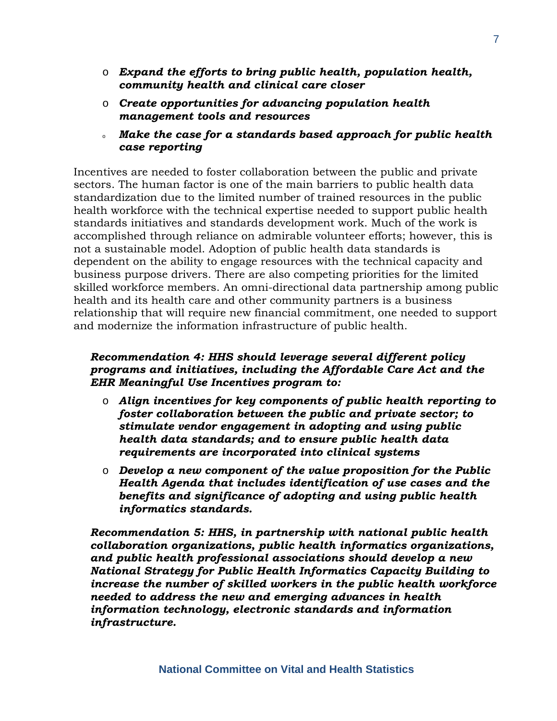- o *Expand the efforts to bring public health, population health, community health and clinical care closer*
- o *Create opportunities for advancing population health management tools and resources*
- <sup>o</sup> *Make the case for a standards based approach for public health case reporting*

Incentives are needed to foster collaboration between the public and private sectors. The human factor is one of the main barriers to public health data standardization due to the limited number of trained resources in the public health workforce with the technical expertise needed to support public health standards initiatives and standards development work. Much of the work is accomplished through reliance on admirable volunteer efforts; however, this is not a sustainable model. Adoption of public health data standards is dependent on the ability to engage resources with the technical capacity and business purpose drivers. There are also competing priorities for the limited skilled workforce members. An omni-directional data partnership among public health and its health care and other community partners is a business relationship that will require new financial commitment, one needed to support and modernize the information infrastructure of public health.

## *Recommendation 4: HHS should leverage several different policy programs and initiatives, including the Affordable Care Act and the EHR Meaningful Use Incentives program to:*

- o *Align incentives for key components of public health reporting to foster collaboration between the public and private sector; to stimulate vendor engagement in adopting and using public health data standards; and to ensure public health data requirements are incorporated into clinical systems*
- o *Develop a new component of the value proposition for the Public Health Agenda that includes identification of use cases and the benefits and significance of adopting and using public health informatics standards.*

*Recommendation 5: HHS, in partnership with national public health collaboration organizations, public health informatics organizations, and public health professional associations should develop a new National Strategy for Public Health Informatics Capacity Building to increase the number of skilled workers in the public health workforce needed to address the new and emerging advances in health information technology, electronic standards and information infrastructure.*